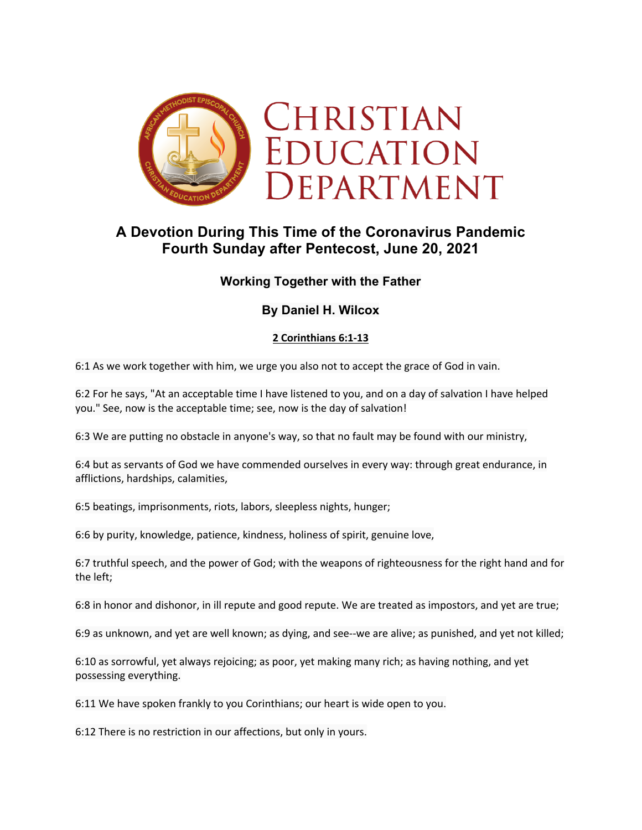

# **A Devotion During This Time of the Coronavirus Pandemic Fourth Sunday after Pentecost, June 20, 2021**

## **Working Together with the Father**

## **By Daniel H. Wilcox**

### **2 Corinthians 6:1-13**

6:1 As we work together with him, we urge you also not to accept the grace of God in vain.

6:2 For he says, "At an acceptable time I have listened to you, and on a day of salvation I have helped you." See, now is the acceptable time; see, now is the day of salvation!

6:3 We are putting no obstacle in anyone's way, so that no fault may be found with our ministry,

6:4 but as servants of God we have commended ourselves in every way: through great endurance, in afflictions, hardships, calamities,

6:5 beatings, imprisonments, riots, labors, sleepless nights, hunger;

6:6 by purity, knowledge, patience, kindness, holiness of spirit, genuine love,

6:7 truthful speech, and the power of God; with the weapons of righteousness for the right hand and for the left;

6:8 in honor and dishonor, in ill repute and good repute. We are treated as impostors, and yet are true;

6:9 as unknown, and yet are well known; as dying, and see--we are alive; as punished, and yet not killed;

6:10 as sorrowful, yet always rejoicing; as poor, yet making many rich; as having nothing, and yet possessing everything.

6:11 We have spoken frankly to you Corinthians; our heart is wide open to you.

6:12 There is no restriction in our affections, but only in yours.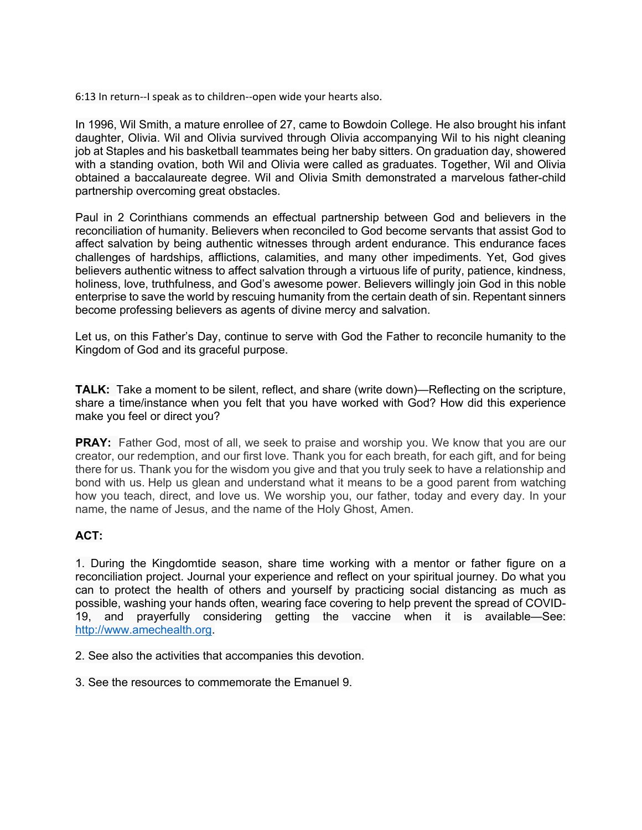6:13 In return--I speak as to children--open wide your hearts also.

In 1996, Wil Smith, a mature enrollee of 27, came to Bowdoin College. He also brought his infant daughter, Olivia. Wil and Olivia survived through Olivia accompanying Wil to his night cleaning job at Staples and his basketball teammates being her baby sitters. On graduation day, showered with a standing ovation, both Wil and Olivia were called as graduates. Together, Wil and Olivia obtained a baccalaureate degree. Wil and Olivia Smith demonstrated a marvelous father-child partnership overcoming great obstacles.

Paul in 2 Corinthians commends an effectual partnership between God and believers in the reconciliation of humanity. Believers when reconciled to God become servants that assist God to affect salvation by being authentic witnesses through ardent endurance. This endurance faces challenges of hardships, afflictions, calamities, and many other impediments. Yet, God gives believers authentic witness to affect salvation through a virtuous life of purity, patience, kindness, holiness, love, truthfulness, and God's awesome power. Believers willingly join God in this noble enterprise to save the world by rescuing humanity from the certain death of sin. Repentant sinners become professing believers as agents of divine mercy and salvation.

Let us, on this Father's Day, continue to serve with God the Father to reconcile humanity to the Kingdom of God and its graceful purpose.

**TALK:** Take a moment to be silent, reflect, and share (write down)—Reflecting on the scripture, share a time/instance when you felt that you have worked with God? How did this experience make you feel or direct you?

**PRAY:** Father God, most of all, we seek to praise and worship you. We know that you are our creator, our redemption, and our first love. Thank you for each breath, for each gift, and for being there for us. Thank you for the wisdom you give and that you truly seek to have a relationship and bond with us. Help us glean and understand what it means to be a good parent from watching how you teach, direct, and love us. We worship you, our father, today and every day. In your name, the name of Jesus, and the name of the Holy Ghost, Amen.

### **ACT:**

1. During the Kingdomtide season, share time working with a mentor or father figure on a reconciliation project. Journal your experience and reflect on your spiritual journey. Do what you can to protect the health of others and yourself by practicing social distancing as much as possible, washing your hands often, wearing face covering to help prevent the spread of COVID-19, and prayerfully considering getting the vaccine when it is available—See: http://www.amechealth.org.

2. See also the activities that accompanies this devotion.

3. See the resources to commemorate the Emanuel 9.